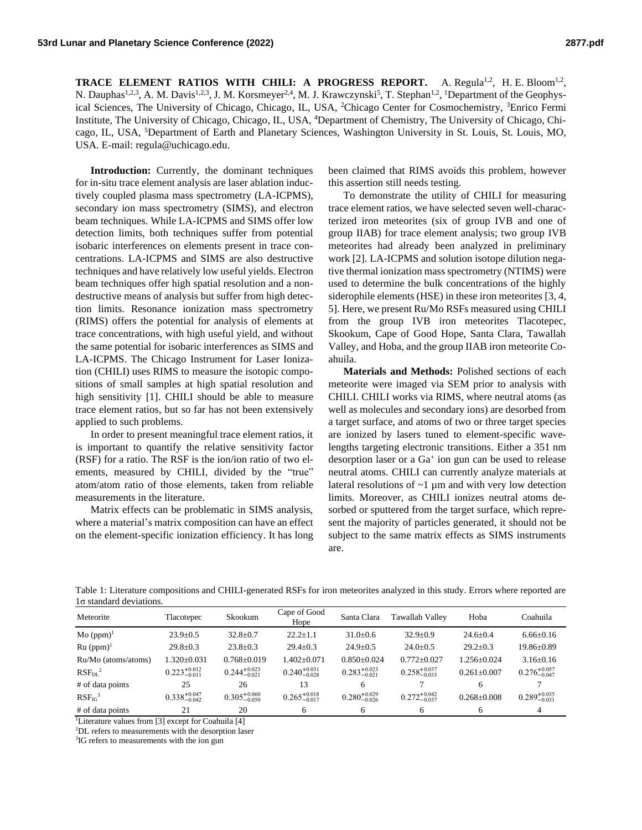**TRACE ELEMENT RATIOS WITH CHILI: A PROGRESS REPORT.** A. Regula<sup>1,2</sup>, H. E. Bloom<sup>1,2</sup>, N. Dauphas<sup>1,2,3</sup>, A. M. Davis<sup>1,2,3</sup>, J. M. Korsmeyer<sup>2,4</sup>, M. J. Krawczynski<sup>5</sup>, T. Stephan<sup>1,2</sup>, <sup>1</sup>Department of the Geophysical Sciences, The University of Chicago, Chicago, IL, USA, <sup>2</sup>Chicago Center for Cosmochemistry, <sup>3</sup>Enrico Fermi Institute, The University of Chicago, Chicago, IL, USA, <sup>4</sup>Department of Chemistry, The University of Chicago, Chicago, IL, USA, <sup>5</sup>Department of Earth and Planetary Sciences, Washington University in St. Louis, St. Louis, MO, USA. E-mail: regula@uchicago.edu.

**Introduction:** Currently, the dominant techniques for in-situ trace element analysis are laser ablation inductively coupled plasma mass spectrometry (LA-ICPMS), secondary ion mass spectrometry (SIMS), and electron beam techniques. While LA-ICPMS and SIMS offer low detection limits, both techniques suffer from potential isobaric interferences on elements present in trace concentrations. LA-ICPMS and SIMS are also destructive techniques and have relatively low useful yields. Electron beam techniques offer high spatial resolution and a nondestructive means of analysis but suffer from high detection limits. Resonance ionization mass spectrometry (RIMS) offers the potential for analysis of elements at trace concentrations, with high useful yield, and without the same potential for isobaric interferences as SIMS and LA-ICPMS. The Chicago Instrument for Laser Ionization (CHILI) uses RIMS to measure the isotopic compositions of small samples at high spatial resolution and high sensitivity [1]. CHILI should be able to measure trace element ratios, but so far has not been extensively applied to such problems.

In order to present meaningful trace element ratios, it is important to quantify the relative sensitivity factor (RSF) for a ratio. The RSF is the ion/ion ratio of two elements, measured by CHILI, divided by the "true" atom/atom ratio of those elements, taken from reliable measurements in the literature.

Matrix effects can be problematic in SIMS analysis, where a material's matrix composition can have an effect on the element-specific ionization efficiency. It has long been claimed that RIMS avoids this problem, however this assertion still needs testing.

To demonstrate the utility of CHILI for measuring trace element ratios, we have selected seven well-characterized iron meteorites (six of group IVB and one of group IIAB) for trace element analysis; two group IVB meteorites had already been analyzed in preliminary work [2]. LA-ICPMS and solution isotope dilution negative thermal ionization mass spectrometry (NTIMS) were used to determine the bulk concentrations of the highly siderophile elements (HSE) in these iron meteorites [3, 4, 5]. Here, we present Ru/Mo RSFs measured using CHILI from the group IVB iron meteorites Tlacotepec, Skookum, Cape of Good Hope, Santa Clara, Tawallah Valley, and Hoba, and the group IIAB iron meteorite Coahuila.

**Materials and Methods:** Polished sections of each meteorite were imaged via SEM prior to analysis with CHILI. CHILI works via RIMS, where neutral atoms (as well as molecules and secondary ions) are desorbed from a target surface, and atoms of two or three target species are ionized by lasers tuned to element-specific wavelengths targeting electronic transitions. Either a 351 nm desorption laser or a Ga<sup>+</sup> ion gun can be used to release neutral atoms. CHILI can currently analyze materials at lateral resolutions of  $\sim$ 1  $\mu$ m and with very low detection limits. Moreover, as CHILI ionizes neutral atoms desorbed or sputtered from the target surface, which represent the majority of particles generated, it should not be subject to the same matrix effects as SIMS instruments are.

Table 1: Literature compositions and CHILI-generated RSFs for iron meteorites analyzed in this study. Errors where reported are 1σ standard deviations.

| Meteorite                      | Tlacotepec                | Skookum                   | Cape of Good<br>Hope      | Santa Clara               | <b>Tawallah Valley</b>    | Hoba              | Coahuila                  |
|--------------------------------|---------------------------|---------------------------|---------------------------|---------------------------|---------------------------|-------------------|---------------------------|
| $Mo$ (ppm) <sup>1</sup>        | $23.9 \pm 0.5$            | $32.8 \pm 0.7$            | $22.2 \pm 1.1$            | $31.0 \pm 0.6$            | $32.9 \pm 0.9$            | $24.6 \pm 0.4$    | $6.66 \pm 0.16$           |
| $Ru$ (ppm) <sup>1</sup>        | $29.8 \pm 0.3$            | $23.8 \pm 0.3$            | $29.4 \pm 0.3$            | $24.9 \pm 0.5$            | $24.0 \pm 0.5$            | $29.2 \pm 0.3$    | $19.86 \pm 0.89$          |
| Ru/Mo (atoms/atoms)            | $1.320 + 0.031$           | $0.768 \pm 0.019$         | $1.402 + 0.071$           | $0.850+0.024$             | $0.772 + 0.027$           | $1.256 + 0.024$   | $3.16 \pm 0.16$           |
| $RSF_{DL}^2$                   | $0.223_{-0.011}^{+0.012}$ | $0.244_{-0.021}^{+0.023}$ | $0.240^{+0.031}_{-0.028}$ | $0.283_{-0.021}^{+0.023}$ | $0.258_{-0.033}^{+0.037}$ | $0.261 + 0.007$   | $0.276_{-0.047}^{+0.057}$ |
| # of data points               | 25                        | 26                        | 13                        | 6                         |                           | 6                 |                           |
| RSF <sub>IG</sub> <sup>3</sup> | $0.338_{-0.042}^{+0.047}$ | $0.305_{-0.050}^{+0.060}$ | $0.265_{-0.017}^{+0.018}$ | $0.280^{+0.029}_{-0.026}$ | $0.272_{-0.037}^{+0.042}$ | $0.268 \pm 0.008$ | $0.289^{+0.035}_{-0.031}$ |
| # of data points               | 21                        | 20                        | 6                         | 6                         | 6                         | 6                 | 4                         |

<sup>1</sup>Literature values from [3] except for Coahuila [4]

<sup>2</sup>DL refers to measurements with the desorption laser

<sup>3</sup>IG refers to measurements with the ion gun